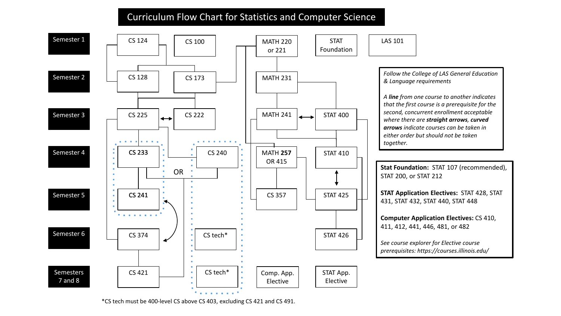## Curriculum Flow Chart for Statistics and Computer Science



\*CS tech must be 400-level CS above CS 403, excluding CS 421 and CS 491.